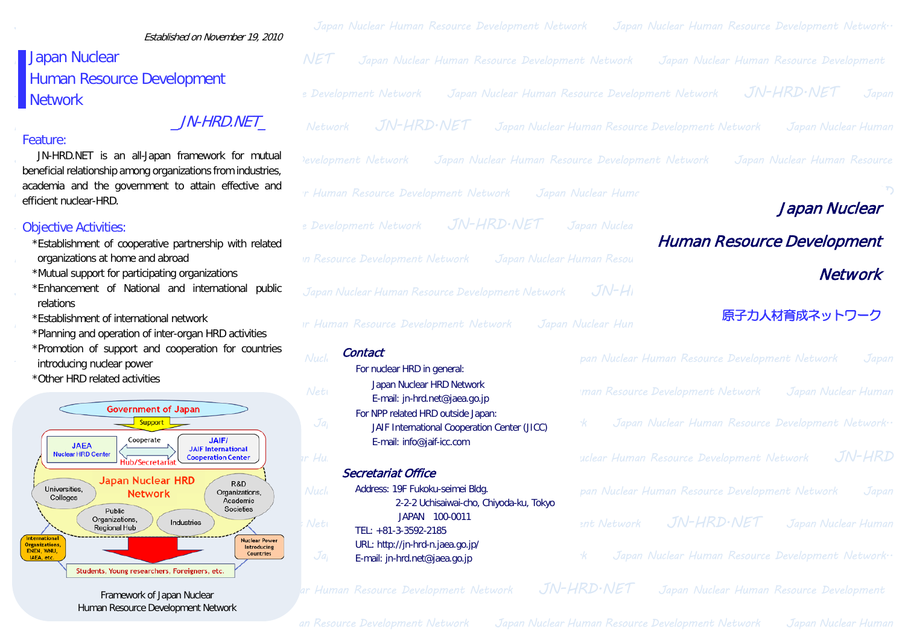# Japan Nuclear Human Resource Development **Network**

#### Feature:

### Objective Activities:

- \*Establishment of cooperative partnership with related
- \*Mutual support for participating organizations
- relations
- \*Establishment of international network
- \*Planning and operation of inter-organ HRD activities
- \*Promotion of support and cooperation for countries introducing nuclear power
- \*Other HRD related activities



Framework of Japan Nuclear Human Resource Development Network

| Established on November 19, 2010                                                                                                                       | Japan Nuclear Human Resource Development Network                                                                    | Japan Nuclear Human Resource Development Network.                       |
|--------------------------------------------------------------------------------------------------------------------------------------------------------|---------------------------------------------------------------------------------------------------------------------|-------------------------------------------------------------------------|
| Japan Nuclear                                                                                                                                          | <b>NET</b><br>Japan Nuclear Human Resource Development Network                                                      | Japan Nuclear Human Resource Development                                |
| Human Resource Development                                                                                                                             |                                                                                                                     |                                                                         |
| Network                                                                                                                                                | e Development Network                                                                                               | JN-HRD.NET<br>Japan Nuclear Human Resource Development Network<br>Japan |
| <i>JN-HRD.NET</i>                                                                                                                                      | JN-HRD.NET<br>Network                                                                                               | Japan Nuclear Human Resource Development Network<br>Japan Nuclear Human |
| Feature:<br>JN-HRD.NET is an all-Japan framework for mutual<br>beneficial relationship among organizations from industries,                            | evelopment Network<br>Japan Nuclear Human Resource Development Network                                              | Japan Nuclear Human Resource                                            |
| academia and the government to attain effective and<br>efficient nuclear-HRD.                                                                          | r Human Resource Development Network                                                                                | Japan Nuclear Hume<br>Japan Nuclear                                     |
| <b>Objective Activities:</b>                                                                                                                           | JN-HRD.NET<br>e Development Network                                                                                 | Japan Nuclea                                                            |
| *Establishment of cooperative partnership with related<br>organizations at home and abroad                                                             | <b>Human Resource Development</b><br>in Resource Development Network<br>Japan Nuclear Human Resou<br><b>Network</b> |                                                                         |
| *Mutual support for participating organizations                                                                                                        |                                                                                                                     |                                                                         |
| *Enhancement of National and international public                                                                                                      | Japan Nuclear Human Resource Development Network                                                                    | $JN-HI$                                                                 |
| relations                                                                                                                                              |                                                                                                                     |                                                                         |
| *Establishment of international network                                                                                                                | <b>Ir Human Resource Development Network</b>                                                                        | 原子力人材育成ネットワーク<br>Japan Nuclear Hun                                      |
| *Planning and operation of inter-organ HRD activities                                                                                                  |                                                                                                                     |                                                                         |
| *Promotion of support and cooperation for countries<br>introducing nuclear power                                                                       | Contact<br>Nucle                                                                                                    | pan Nuclear Human Resource Development Network<br>Japan                 |
| *Other HRD related activities                                                                                                                          | For nuclear HRD in general:                                                                                         |                                                                         |
|                                                                                                                                                        | Japan Nuclear HRD Network<br>Neti<br>E-mail: jn-hrd.net@jaea.go.jp                                                  | <b>Iman Resource Development Network</b><br>Japan Nuclear Human         |
| <b>Government of Japan</b><br>Support L                                                                                                                | For NPP related HRD outside Japan:<br>Ja<br>JAIF International Cooperation Center (JICC)                            | Japan Nuclear Human Resource Development Network.                       |
| <b>JAIF/</b><br>Cooperate<br><b>JAEA</b><br><b>JAIF International</b><br><b>Nuclear HRD Center</b><br><b>Cooperation Center</b><br>.<br>Hub/Secretaria | E-mail: info@jaif-icc.com<br>r Hui                                                                                  | JN-HRD<br>uclear Human Resource Development Network                     |
|                                                                                                                                                        | <b>Secretariat Office</b>                                                                                           |                                                                         |
| <b>Japan Nuclear HRD</b><br>R&D<br>Universities.<br>Organizations,<br><b>Network</b><br>Colleges<br>Academic<br>Societies<br>Public                    | Address: 19F Fukoku-seimei Bldg.<br>Nuch<br>2-2-2 Uchisaiwai-cho, Chiyoda-ku, Tokyo                                 | pan Nuclear Human Resource Development Network<br>Japan                 |
| Organizations,<br>Industries<br>Regional Hub<br><b>International</b><br><b>Nuclear Power</b><br><b>Organizations</b><br>Introducing                    | JAPAN 100-0011<br>Neti<br>TEL: +81-3-3592-2185<br>URL: http://jn-hrd-n.jaea.go.jp/                                  | JN-HRD.NET<br>ant Network<br>Japan Nuclear Human                        |

E-mail: jn-hrd.net@jaea.go.jp

*Human Resource Development Network Japan Nuclear Human Resource Development Network JN-HRD.NET Japan Nuclear Human Resource Development* 

*Network JN-HRD.NET Japan Nuclear Human Resource Development Network Japan Nuclear Human Resource Development Network Japan Nuclear Human*